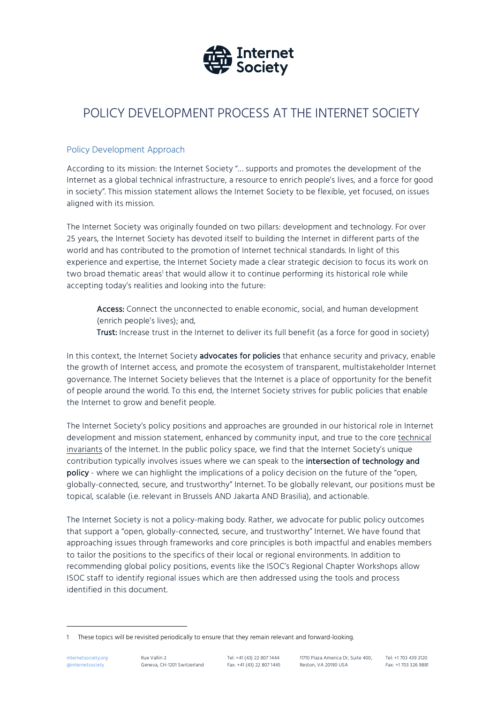

# POLICY DEVELOPMENT PROCESS AT THE INTERNET SOCIETY

### Policy Development Approach

According to its mission: the Internet Society "… supports and promotes the development of the Internet as a global technical infrastructure, a resource to enrich people's lives, and a force for good in society". This mission statement allows the Internet Society to be flexible, yet focused, on issues aligned with its mission.

The Internet Society was originally founded on two pillars: development and technology. For over 25 years, the Internet Society has devoted itself to building the Internet in different parts of the world and has contributed to the promotion of Internet technical standards. In light of this experience and expertise, the Internet Society made a clear strategic decision to focus its work on two broad thematic areas<sup>1</sup> that would allow it to continue performing its historical role while accepting today's realities and looking into the future:

Access: Connect the unconnected to enable economic, social, and human development (enrich people's lives); and,

Trust: Increase trust in the Internet to deliver its full benefit (as a force for good in society)

In this context, the Internet Society advocates for policies that enhance security and privacy, enable the growth of Internet access, and promote the ecosystem of transparent, multistakeholder Internet governance. The Internet Society believes that the Internet is a place of opportunity for the benefit of people around the world. To this end, the Internet Society strives for public policies that enable the Internet to grow and benefit people.

The Internet Society's policy positions and approaches are grounded in our historical role in Internet development and mission statement, enhanced by community input, and true to the core technical invariants of the Internet. In the public policy space, we find that the Internet Society's unique contribution typically involves issues where we can speak to the intersection of technology and policy - where we can highlight the implications of a policy decision on the future of the "open, globally-connected, secure, and trustworthy" Internet. To be globally relevant, our positions must be topical, scalable (i.e. relevant in Brussels AND Jakarta AND Brasilia), and actionable.

The Internet Society is not a policy-making body. Rather, we advocate for public policy outcomes that support a "open, globally-connected, secure, and trustworthy" Internet. We have found that approaching issues through frameworks and core principles is both impactful and enables members to tailor the positions to the specifics of their local or regional environments. In addition to recommending global policy positions, events like the ISOC's Regional Chapter Workshops allow ISOC staff to identify regional issues which are then addressed using the tools and process identified in this document.

j

<sup>1</sup> These topics will be revisited periodically to ensure that they remain relevant and forward-looking.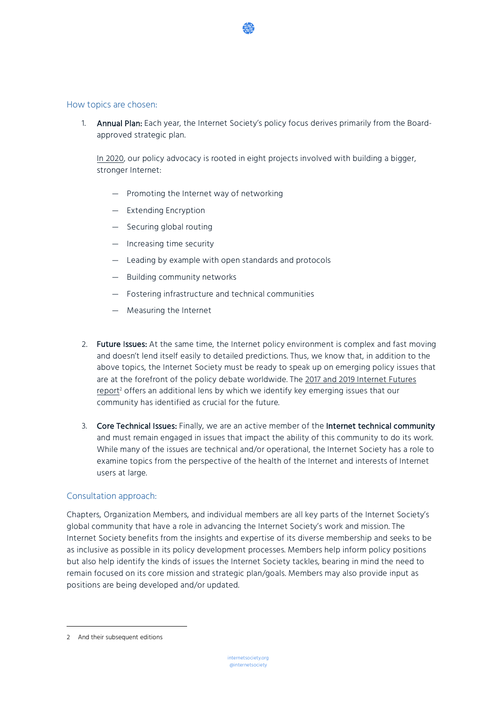#### How topics are chosen:

1. Annual Plan: Each year, the Internet Society's policy focus derives primarily from the Boardapproved strategic plan.

In 2020, our policy advocacy is rooted in eight projects involved with building a bigger, stronger Internet:

- Promoting the Internet way of networking
- Extending Encryption
- Securing global routing
- Increasing time security
- Leading by example with open standards and protocols
- Building community networks
- Fostering infrastructure and technical communities
- Measuring the Internet
- 2. Future Issues: At the same time, the Internet policy environment is complex and fast moving and doesn't lend itself easily to detailed predictions. Thus, we know that, in addition to the above topics, the Internet Society must be ready to speak up on emerging policy issues that are at the forefront of the policy debate worldwide. The 2017 and 2019 Internet Futures report<sup>2</sup> offers an additional lens by which we identify key emerging issues that our community has identified as crucial for the future.
- 3. Core Technical Issues: Finally, we are an active member of the Internet technical community and must remain engaged in issues that impact the ability of this community to do its work. While many of the issues are technical and/or operational, the Internet Society has a role to examine topics from the perspective of the health of the Internet and interests of Internet users at large.

#### Consultation approach:

Chapters, Organization Members, and individual members are all key parts of the Internet Society's global community that have a role in advancing the Internet Society's work and mission. The Internet Society benefits from the insights and expertise of its diverse membership and seeks to be as inclusive as possible in its policy development processes. Members help inform policy positions but also help identify the kinds of issues the Internet Society tackles, bearing in mind the need to remain focused on its core mission and strategic plan/goals. Members may also provide input as positions are being developed and/or updated.

j

<sup>2</sup> And their subsequent editions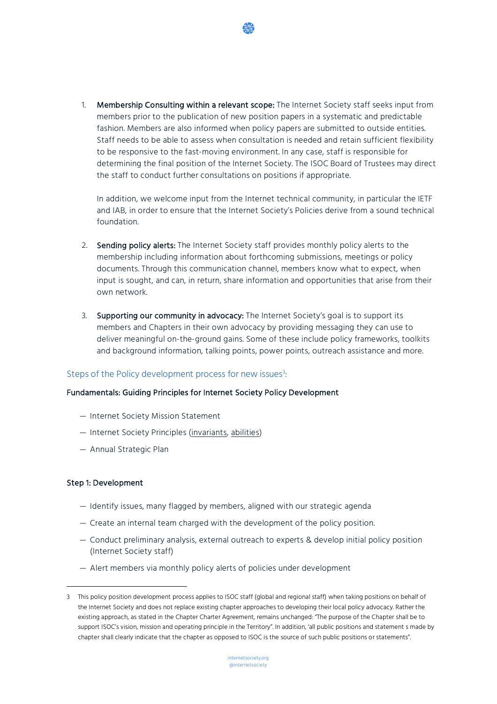1. Membership Consulting within a relevant scope: The Internet Society staff seeks input from members prior to the publication of new position papers in a systematic and predictable fashion. Members are also informed when policy papers are submitted to outside entities. Staff needs to be able to assess when consultation is needed and retain sufficient flexibility to be responsive to the fast-moving environment. In any case, staff is responsible for determining the final position of the Internet Society. The ISOC Board of Trustees may direct the staff to conduct further consultations on positions if appropriate.

In addition, we welcome input from the Internet technical community, in particular the IETF and IAB, in order to ensure that the Internet Society's Policies derive from a sound technical foundation.

- 2. Sending policy alerts: The Internet Society staff provides monthly policy alerts to the membership including information about forthcoming submissions, meetings or policy documents. Through this communication channel, members know what to expect, when input is sought, and can, in return, share information and opportunities that arise from their own network.
- 3. Supporting our community in advocacy: The Internet Society's goal is to support its members and Chapters in their own advocacy by providing messaging they can use to deliver meaningful on-the-ground gains. Some of these include policy frameworks, toolkits and background information, talking points, power points, outreach assistance and more.

## Steps of the Policy development process for new issues<sup>3</sup>:

#### Fundamentals: Guiding Principles for Internet Society Policy Development

- Internet Society Mission Statement
- Internet Society Principles (invariants, abilities)
- Annual Strategic Plan

#### Step 1: Development

j

- Identify issues, many flagged by members, aligned with our strategic agenda
- Create an internal team charged with the development of the policy position.
- Conduct preliminary analysis, external outreach to experts & develop initial policy position (Internet Society staff)
- Alert members via monthly policy alerts of policies under development

<sup>3</sup> This policy position development process applies to ISOC staff (global and regional staff) when taking positions on behalf of the Internet Society and does not replace existing chapter approaches to developing their local policy advocacy. Rather the existing approach, as stated in the Chapter Charter Agreement, remains unchanged: "The purpose of the Chapter shall be to support ISOC's vision, mission and operating principle in the Territory". In addition, 'all public positions and statement s made by chapter shall clearly indicate that the chapter as opposed to ISOC is the source of such public positions or statements".